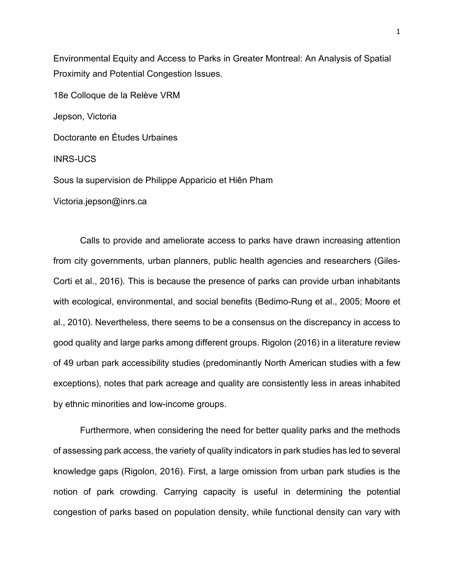Environmental Equity and Access to Parks in Greater Montreal: An Analysis of Spatial Proximity and Potential Congestion Issues.

18e Colloque de la Relève VRM

Jepson, Victoria

Doctorante en Études Urbaines

INRS-UCS

Sous la supervision de Philippe Apparicio et Hiên Pham

Victoria.jepson@inrs.ca

Calls to provide and ameliorate access to parks have drawn increasing attention from city governments, urban planners, public health agencies and researchers (Giles-Corti et al., 2016). This is because the presence of parks can provide urban inhabitants with ecological, environmental, and social benefits (Bedimo-Rung et al., 2005; Moore et al., 2010). Nevertheless, there seems to be a consensus on the discrepancy in access to good quality and large parks among different groups. Rigolon (2016) in a literature review of 49 urban park accessibility studies (predominantly North American studies with a few exceptions), notes that park acreage and quality are consistently less in areas inhabited by ethnic minorities and low-income groups.

Furthermore, when considering the need for better quality parks and the methods of assessing park access, the variety of quality indicators in park studies has led to several knowledge gaps (Rigolon, 2016). First, a large omission from urban park studies is the notion of park crowding. Carrying capacity is useful in determining the potential congestion of parks based on population density, while functional density can vary with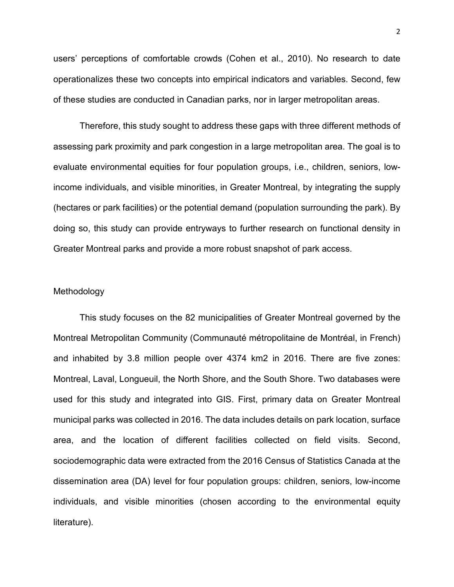users' perceptions of comfortable crowds (Cohen et al., 2010). No research to date operationalizes these two concepts into empirical indicators and variables. Second, few of these studies are conducted in Canadian parks, nor in larger metropolitan areas.

Therefore, this study sought to address these gaps with three different methods of assessing park proximity and park congestion in a large metropolitan area. The goal is to evaluate environmental equities for four population groups, i.e., children, seniors, lowincome individuals, and visible minorities, in Greater Montreal, by integrating the supply (hectares or park facilities) or the potential demand (population surrounding the park). By doing so, this study can provide entryways to further research on functional density in Greater Montreal parks and provide a more robust snapshot of park access.

## Methodology

This study focuses on the 82 municipalities of Greater Montreal governed by the Montreal Metropolitan Community (Communauté métropolitaine de Montréal, in French) and inhabited by 3.8 million people over 4374 km2 in 2016. There are five zones: Montreal, Laval, Longueuil, the North Shore, and the South Shore. Two databases were used for this study and integrated into GIS. First, primary data on Greater Montreal municipal parks was collected in 2016. The data includes details on park location, surface area, and the location of different facilities collected on field visits. Second, sociodemographic data were extracted from the 2016 Census of Statistics Canada at the dissemination area (DA) level for four population groups: children, seniors, low-income individuals, and visible minorities (chosen according to the environmental equity literature).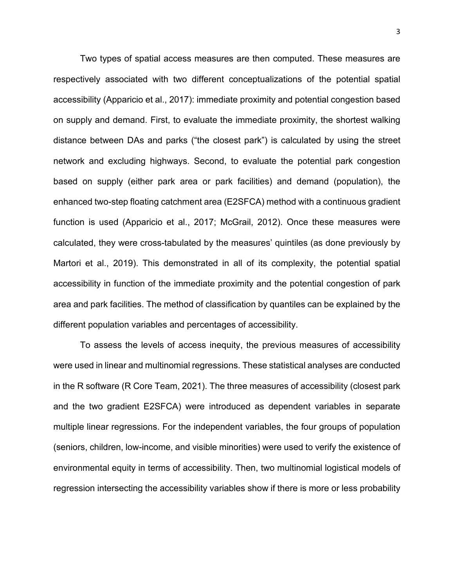Two types of spatial access measures are then computed. These measures are respectively associated with two different conceptualizations of the potential spatial accessibility (Apparicio et al., 2017): immediate proximity and potential congestion based on supply and demand. First, to evaluate the immediate proximity, the shortest walking distance between DAs and parks ("the closest park") is calculated by using the street network and excluding highways. Second, to evaluate the potential park congestion based on supply (either park area or park facilities) and demand (population), the enhanced two-step floating catchment area (E2SFCA) method with a continuous gradient function is used (Apparicio et al., 2017; McGrail, 2012). Once these measures were calculated, they were cross-tabulated by the measures' quintiles (as done previously by Martori et al., 2019). This demonstrated in all of its complexity, the potential spatial accessibility in function of the immediate proximity and the potential congestion of park area and park facilities. The method of classification by quantiles can be explained by the different population variables and percentages of accessibility.

To assess the levels of access inequity, the previous measures of accessibility were used in linear and multinomial regressions. These statistical analyses are conducted in the R software (R Core Team, 2021). The three measures of accessibility (closest park and the two gradient E2SFCA) were introduced as dependent variables in separate multiple linear regressions. For the independent variables, the four groups of population (seniors, children, low-income, and visible minorities) were used to verify the existence of environmental equity in terms of accessibility. Then, two multinomial logistical models of regression intersecting the accessibility variables show if there is more or less probability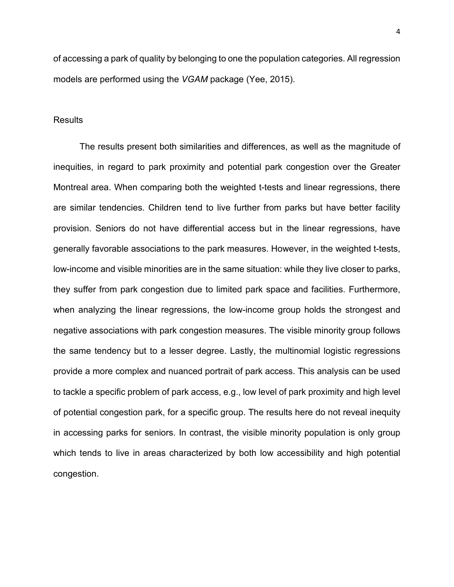of accessing a park of quality by belonging to one the population categories. All regression models are performed using the *VGAM* package (Yee, 2015).

## **Results**

The results present both similarities and differences, as well as the magnitude of inequities, in regard to park proximity and potential park congestion over the Greater Montreal area. When comparing both the weighted t-tests and linear regressions, there are similar tendencies. Children tend to live further from parks but have better facility provision. Seniors do not have differential access but in the linear regressions, have generally favorable associations to the park measures. However, in the weighted t-tests, low-income and visible minorities are in the same situation: while they live closer to parks, they suffer from park congestion due to limited park space and facilities. Furthermore, when analyzing the linear regressions, the low-income group holds the strongest and negative associations with park congestion measures. The visible minority group follows the same tendency but to a lesser degree. Lastly, the multinomial logistic regressions provide a more complex and nuanced portrait of park access. This analysis can be used to tackle a specific problem of park access, e.g., low level of park proximity and high level of potential congestion park, for a specific group. The results here do not reveal inequity in accessing parks for seniors. In contrast, the visible minority population is only group which tends to live in areas characterized by both low accessibility and high potential congestion.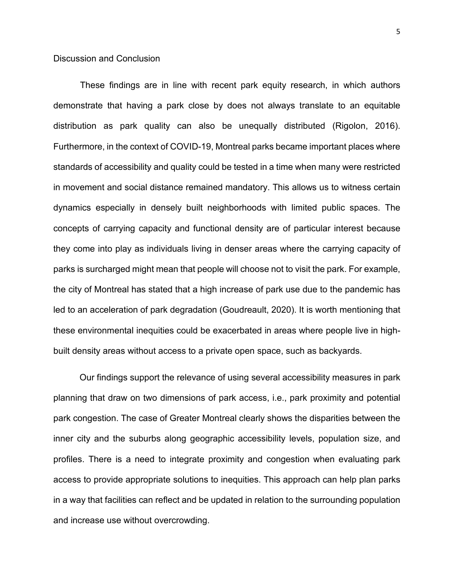These findings are in line with recent park equity research, in which authors demonstrate that having a park close by does not always translate to an equitable distribution as park quality can also be unequally distributed (Rigolon, 2016). Furthermore, in the context of COVID-19, Montreal parks became important places where standards of accessibility and quality could be tested in a time when many were restricted in movement and social distance remained mandatory. This allows us to witness certain dynamics especially in densely built neighborhoods with limited public spaces. The concepts of carrying capacity and functional density are of particular interest because they come into play as individuals living in denser areas where the carrying capacity of parks is surcharged might mean that people will choose not to visit the park. For example, the city of Montreal has stated that a high increase of park use due to the pandemic has led to an acceleration of park degradation (Goudreault, 2020). It is worth mentioning that these environmental inequities could be exacerbated in areas where people live in highbuilt density areas without access to a private open space, such as backyards.

Our findings support the relevance of using several accessibility measures in park planning that draw on two dimensions of park access, i.e., park proximity and potential park congestion. The case of Greater Montreal clearly shows the disparities between the inner city and the suburbs along geographic accessibility levels, population size, and profiles. There is a need to integrate proximity and congestion when evaluating park access to provide appropriate solutions to inequities. This approach can help plan parks in a way that facilities can reflect and be updated in relation to the surrounding population and increase use without overcrowding.